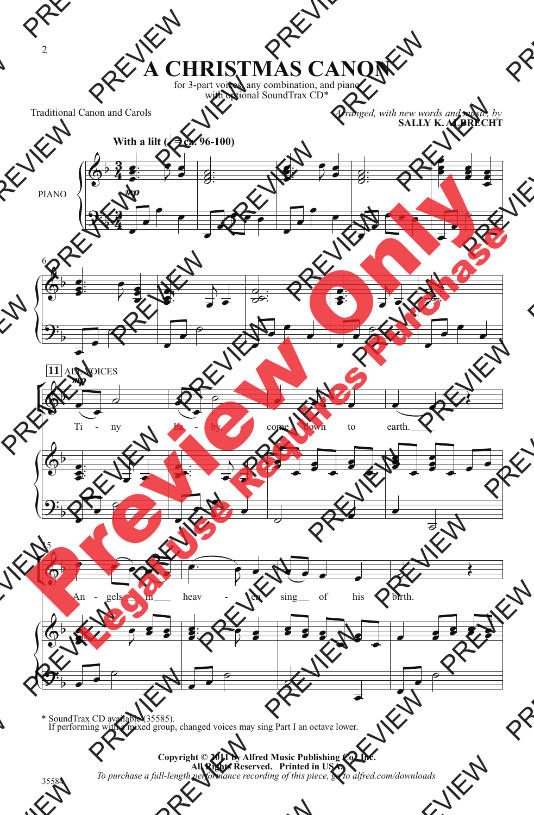## **A CHRISTMAS CANON**

for 3-part voices, any combination, and piano with optional SoundTrax CD\*

Traditional Canon and Carols

*Arranged, with new words and music, by* **SALLY K. ALBRECHT**



\* SoundTrax CD available (35585). If performing with a mixed group, changed voices may sing Part I an octave lower.

## **Copyright © 2011 by Alfred Music Publishing Co., Inc. All Rights Reserved. Printed in USA.** *To purchase a full-length performance recording of this piece, go to alfred.com/downloads*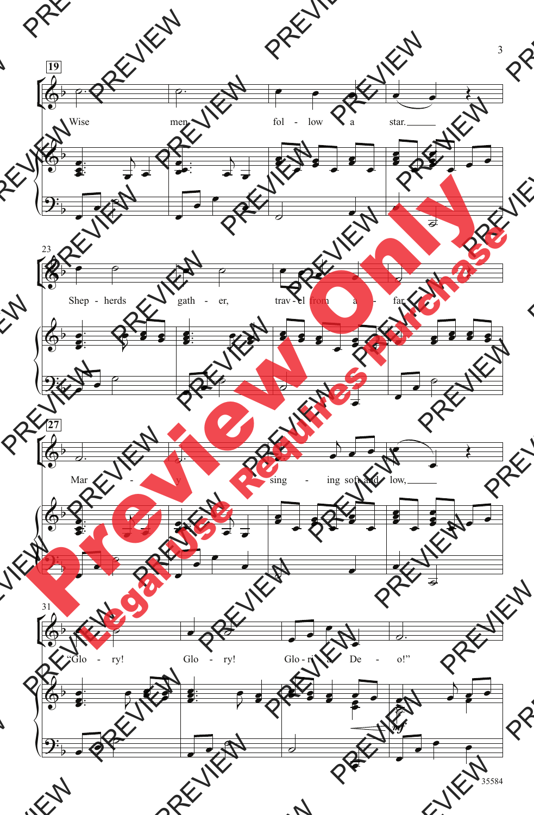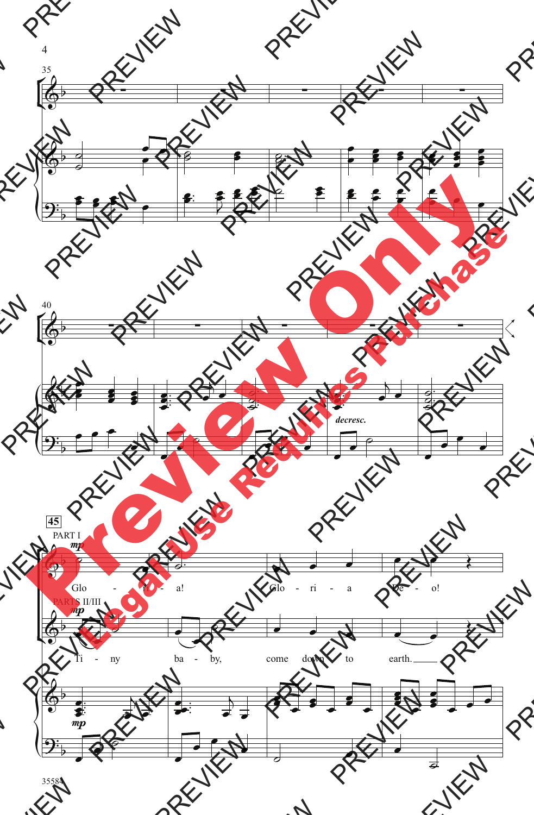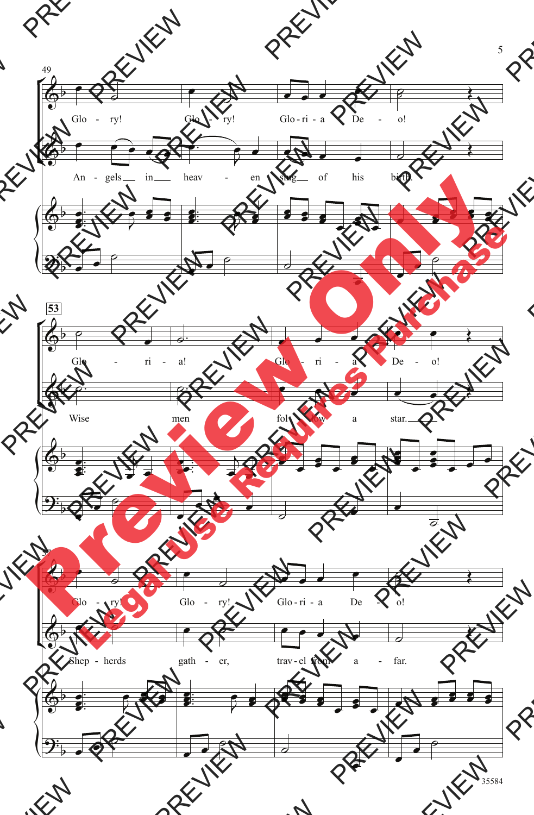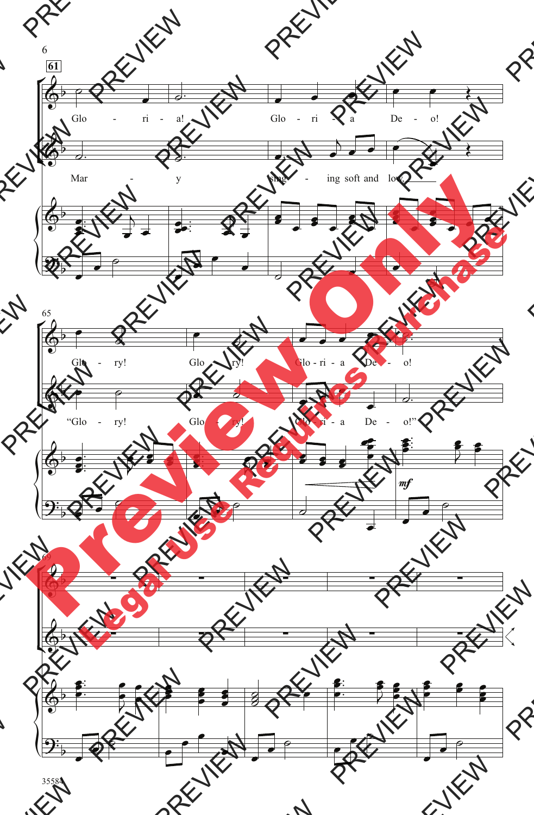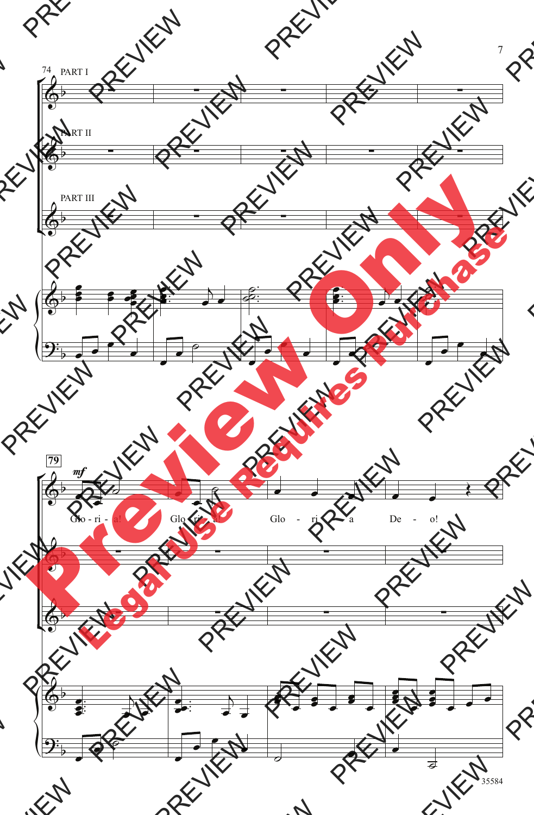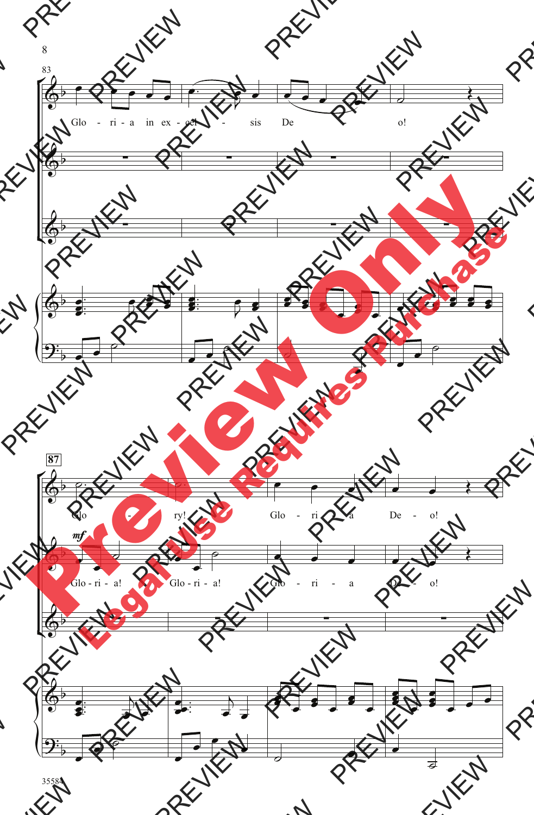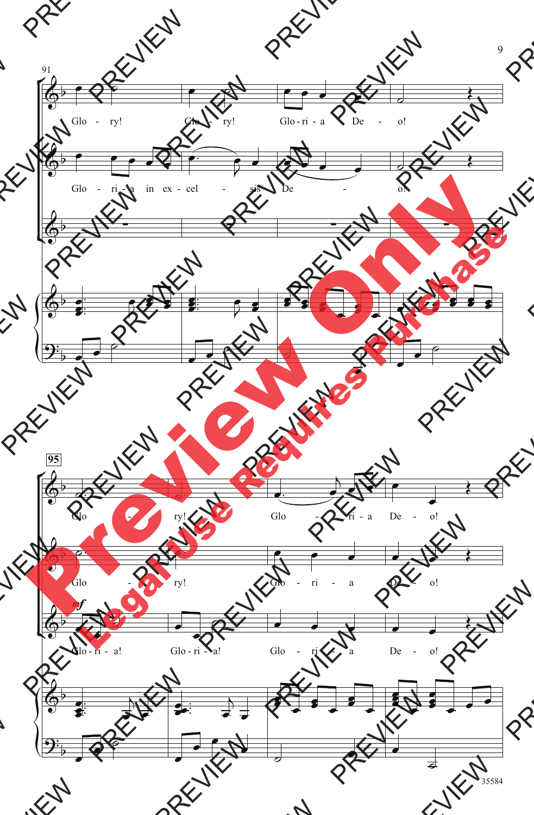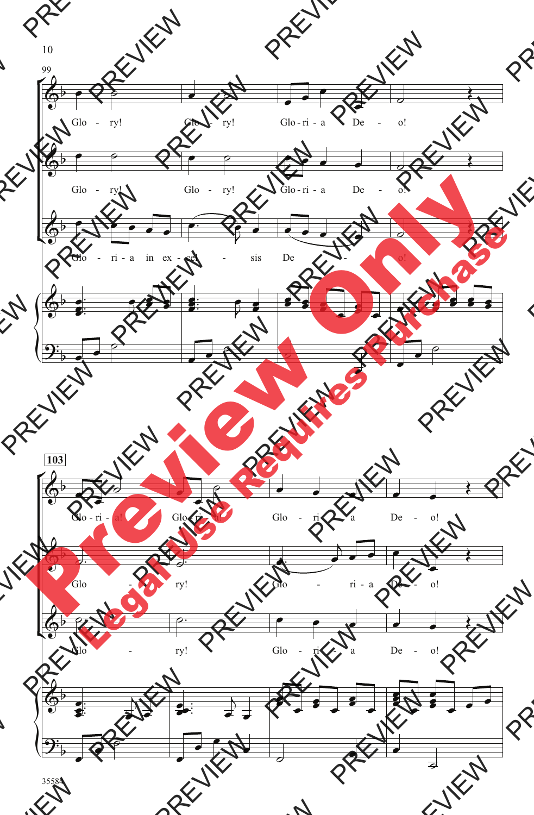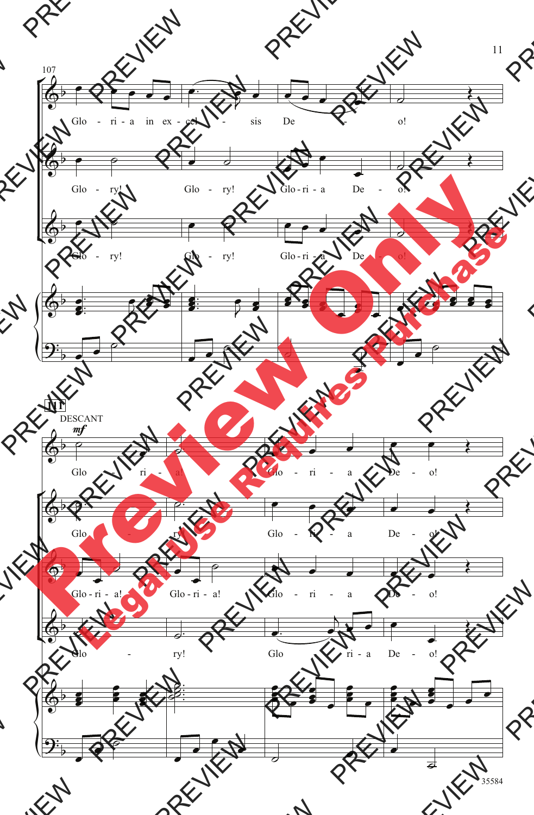